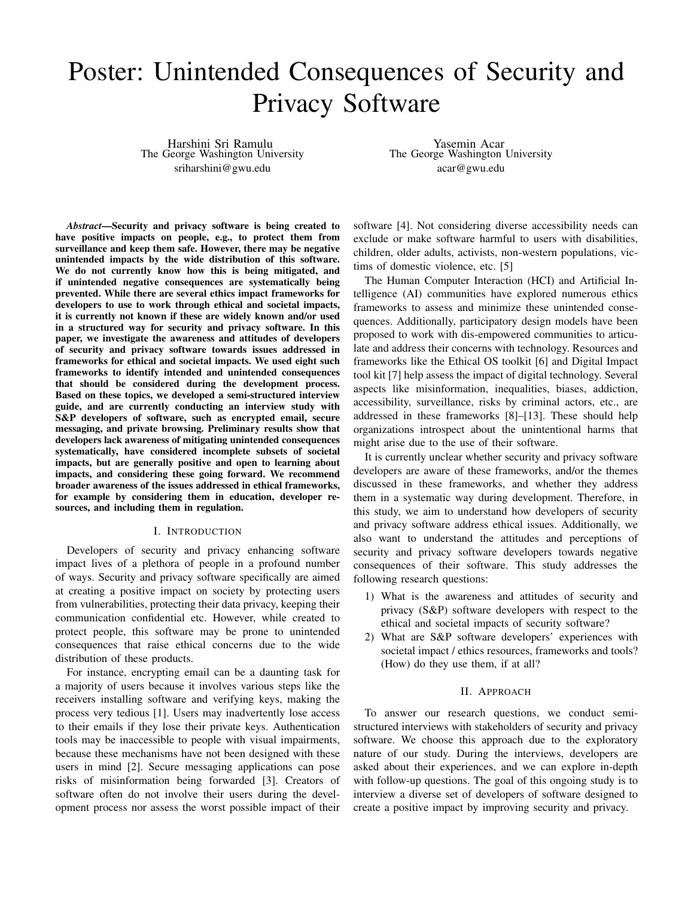# Poster: Unintended Consequences of Security and Privacy Software

Harshini Sri Ramulu The George Washington University sriharshini@gwu.edu

Yasemin Acar The George Washington University acar@gwu.edu

*Abstract*—Security and privacy software is being created to have positive impacts on people, e.g., to protect them from surveillance and keep them safe. However, there may be negative unintended impacts by the wide distribution of this software. We do not currently know how this is being mitigated, and if unintended negative consequences are systematically being prevented. While there are several ethics impact frameworks for developers to use to work through ethical and societal impacts, it is currently not known if these are widely known and/or used in a structured way for security and privacy software. In this paper, we investigate the awareness and attitudes of developers of security and privacy software towards issues addressed in frameworks for ethical and societal impacts. We used eight such frameworks to identify intended and unintended consequences that should be considered during the development process. Based on these topics, we developed a semi-structured interview guide, and are currently conducting an interview study with S&P developers of software, such as encrypted email, secure messaging, and private browsing. Preliminary results show that developers lack awareness of mitigating unintended consequences systematically, have considered incomplete subsets of societal impacts, but are generally positive and open to learning about impacts, and considering these going forward. We recommend broader awareness of the issues addressed in ethical frameworks, for example by considering them in education, developer resources, and including them in regulation.

#### I. INTRODUCTION

Developers of security and privacy enhancing software impact lives of a plethora of people in a profound number of ways. Security and privacy software specifically are aimed at creating a positive impact on society by protecting users from vulnerabilities, protecting their data privacy, keeping their communication confidential etc. However, while created to protect people, this software may be prone to unintended consequences that raise ethical concerns due to the wide distribution of these products.

For instance, encrypting email can be a daunting task for a majority of users because it involves various steps like the receivers installing software and verifying keys, making the process very tedious [1]. Users may inadvertently lose access to their emails if they lose their private keys. Authentication tools may be inaccessible to people with visual impairments, because these mechanisms have not been designed with these users in mind [2]. Secure messaging applications can pose risks of misinformation being forwarded [3]. Creators of software often do not involve their users during the development process nor assess the worst possible impact of their

software [4]. Not considering diverse accessibility needs can exclude or make software harmful to users with disabilities, children, older adults, activists, non-western populations, victims of domestic violence, etc. [5]

The Human Computer Interaction (HCI) and Artificial Intelligence (AI) communities have explored numerous ethics frameworks to assess and minimize these unintended consequences. Additionally, participatory design models have been proposed to work with dis-empowered communities to articulate and address their concerns with technology. Resources and frameworks like the Ethical OS toolkit [6] and Digital Impact tool kit [7] help assess the impact of digital technology. Several aspects like misinformation, inequalities, biases, addiction, accessibility, surveillance, risks by criminal actors, etc., are addressed in these frameworks [8]–[13]. These should help organizations introspect about the unintentional harms that might arise due to the use of their software.

It is currently unclear whether security and privacy software developers are aware of these frameworks, and/or the themes discussed in these frameworks, and whether they address them in a systematic way during development. Therefore, in this study, we aim to understand how developers of security and privacy software address ethical issues. Additionally, we also want to understand the attitudes and perceptions of security and privacy software developers towards negative consequences of their software. This study addresses the following research questions:

- 1) What is the awareness and attitudes of security and privacy (S&P) software developers with respect to the ethical and societal impacts of security software?
- 2) What are S&P software developers' experiences with societal impact / ethics resources, frameworks and tools? (How) do they use them, if at all?

### II. APPROACH

To answer our research questions, we conduct semistructured interviews with stakeholders of security and privacy software. We choose this approach due to the exploratory nature of our study. During the interviews, developers are asked about their experiences, and we can explore in-depth with follow-up questions. The goal of this ongoing study is to interview a diverse set of developers of software designed to create a positive impact by improving security and privacy.